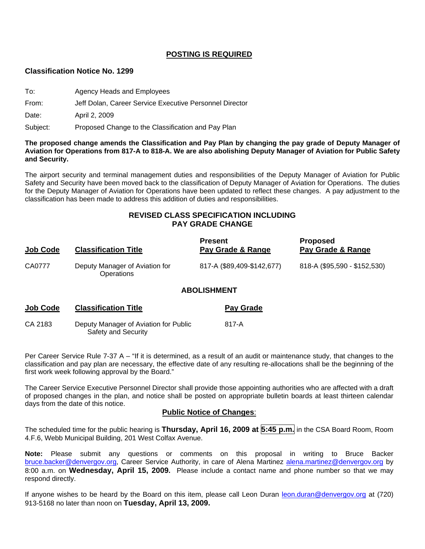#### **POSTING IS REQUIRED**

#### **Classification Notice No. 1299**

- To: Agency Heads and Employees
- From: Jeff Dolan, Career Service Executive Personnel Director

Date: April 2, 2009

Subject: Proposed Change to the Classification and Pay Plan

#### **The proposed change amends the Classification and Pay Plan by changing the pay grade of Deputy Manager of Aviation for Operations from 817-A to 818-A. We are also abolishing Deputy Manager of Aviation for Public Safety and Security.**

The airport security and terminal management duties and responsibilities of the Deputy Manager of Aviation for Public Safety and Security have been moved back to the classification of Deputy Manager of Aviation for Operations. The duties for the Deputy Manager of Aviation for Operations have been updated to reflect these changes. A pay adjustment to the classification has been made to address this addition of duties and responsibilities.

### **REVISED CLASS SPECIFICATION INCLUDING PAY GRADE CHANGE**

| Job Code | <b>Classification Title</b>                         | <b>Present</b><br>Pay Grade & Range | <b>Proposed</b><br>Pay Grade & Range |
|----------|-----------------------------------------------------|-------------------------------------|--------------------------------------|
| CA0777   | Deputy Manager of Aviation for<br><b>Operations</b> | 817-A (\$89,409-\$142,677)          | 818-A (\$95,590 - \$152,530)         |
|          |                                                     | A BALIALIMENE                       |                                      |

#### **ABOLISHMENT**

| <b>Job Code</b> | <b>Classification Title</b>                                  | <b>Pay Grade</b> |
|-----------------|--------------------------------------------------------------|------------------|
| CA 2183         | Deputy Manager of Aviation for Public<br>Safety and Security | 817-A            |

Per Career Service Rule 7-37 A – "If it is determined, as a result of an audit or maintenance study, that changes to the classification and pay plan are necessary, the effective date of any resulting re-allocations shall be the beginning of the first work week following approval by the Board."

The Career Service Executive Personnel Director shall provide those appointing authorities who are affected with a draft of proposed changes in the plan, and notice shall be posted on appropriate bulletin boards at least thirteen calendar days from the date of this notice.

#### **Public Notice of Changes**:

The scheduled time for the public hearing is **Thursday, April 16, 2009 at 5:45 p.m.** in the CSA Board Room, Room 4.F.6, Webb Municipal Building, 201 West Colfax Avenue.

**Note:** Please submit any questions or comments on this proposal in writing to Bruce Backer [bruce.backer@denvergov.org,](mailto:bruce.backer@denvergov.org) Career Service Authority, in care of Alena Martinez [alena.martinez@denvergov.org](mailto:alena.martinez@denvergov.org) by 8:00 a.m. on **Wednesday, April 15, 2009.** Please include a contact name and phone number so that we may respond directly.

If anyone wishes to be heard by the Board on this item, please call Leon Duran [leon.duran@denvergov.org](mailto:leon.duran@denvergov.org) at (720) 913-5168 no later than noon on **Tuesday, April 13, 2009.**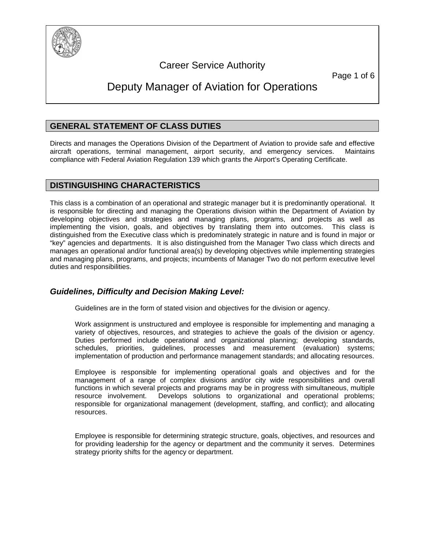

# Career Service Authority

Page 1 of 6

# Deputy Manager of Aviation for Operations

# **GENERAL STATEMENT OF CLASS DUTIES**

Directs and manages the Operations Division of the Department of Aviation to provide safe and effective aircraft operations, terminal management, airport security, and emergency services. Maintains compliance with Federal Aviation Regulation 139 which grants the Airport's Operating Certificate.

# **DISTINGUISHING CHARACTERISTICS**

This class is a combination of an operational and strategic manager but it is predominantly operational. It is responsible for directing and managing the Operations division within the Department of Aviation by developing objectives and strategies and managing plans, programs, and projects as well as implementing the vision, goals, and objectives by translating them into outcomes. This class is distinguished from the Executive class which is predominately strategic in nature and is found in major or "key" agencies and departments. It is also distinguished from the Manager Two class which directs and manages an operational and/or functional area(s) by developing objectives while implementing strategies and managing plans, programs, and projects; incumbents of Manager Two do not perform executive level duties and responsibilities.

# *Guidelines, Difficulty and Decision Making Level:*

Guidelines are in the form of stated vision and objectives for the division or agency.

Work assignment is unstructured and employee is responsible for implementing and managing a variety of objectives, resources, and strategies to achieve the goals of the division or agency. Duties performed include operational and organizational planning; developing standards, schedules, priorities, guidelines, processes and measurement (evaluation) systems; implementation of production and performance management standards; and allocating resources.

Employee is responsible for implementing operational goals and objectives and for the management of a range of complex divisions and/or city wide responsibilities and overall functions in which several projects and programs may be in progress with simultaneous, multiple resource involvement. Develops solutions to organizational and operational problems; responsible for organizational management (development, staffing, and conflict); and allocating resources.

Employee is responsible for determining strategic structure, goals, objectives, and resources and for providing leadership for the agency or department and the community it serves. Determines strategy priority shifts for the agency or department.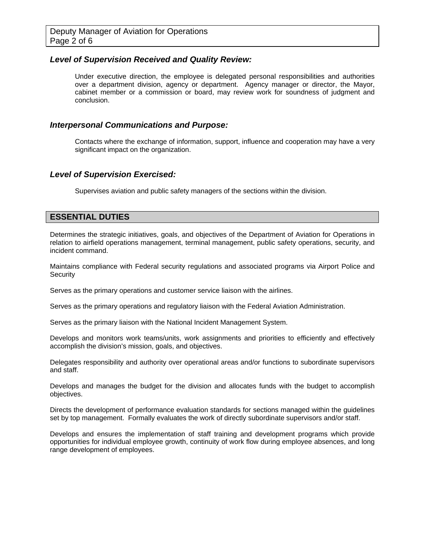#### *Level of Supervision Received and Quality Review:*

Under executive direction, the employee is delegated personal responsibilities and authorities over a department division, agency or department. Agency manager or director, the Mayor, cabinet member or a commission or board, may review work for soundness of judgment and conclusion.

#### *Interpersonal Communications and Purpose:*

Contacts where the exchange of information, support, influence and cooperation may have a very significant impact on the organization.

#### *Level of Supervision Exercised:*

Supervises aviation and public safety managers of the sections within the division.

#### **ESSENTIAL DUTIES**

Determines the strategic initiatives, goals, and objectives of the Department of Aviation for Operations in relation to airfield operations management, terminal management, public safety operations, security, and incident command.

Maintains compliance with Federal security regulations and associated programs via Airport Police and **Security** 

Serves as the primary operations and customer service liaison with the airlines.

Serves as the primary operations and regulatory liaison with the Federal Aviation Administration.

Serves as the primary liaison with the National Incident Management System.

Develops and monitors work teams/units, work assignments and priorities to efficiently and effectively accomplish the division's mission, goals, and objectives.

Delegates responsibility and authority over operational areas and/or functions to subordinate supervisors and staff.

Develops and manages the budget for the division and allocates funds with the budget to accomplish objectives.

Directs the development of performance evaluation standards for sections managed within the guidelines set by top management. Formally evaluates the work of directly subordinate supervisors and/or staff.

Develops and ensures the implementation of staff training and development programs which provide opportunities for individual employee growth, continuity of work flow during employee absences, and long range development of employees.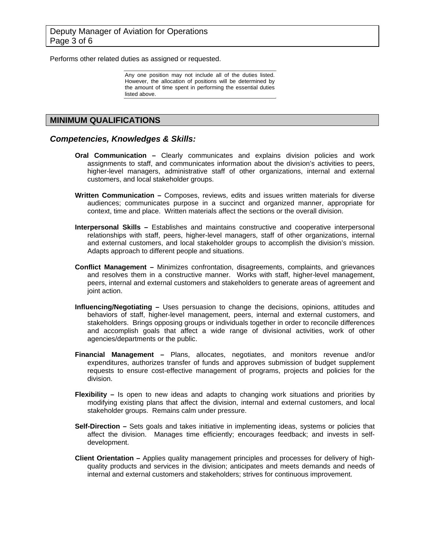Performs other related duties as assigned or requested.

Any one position may not include all of the duties listed. However, the allocation of positions will be determined by the amount of time spent in performing the essential duties listed above.

### **MINIMUM QUALIFICATIONS**

#### *Competencies, Knowledges & Skills:*

- **Oral Communication –** Clearly communicates and explains division policies and work assignments to staff, and communicates information about the division's activities to peers, higher-level managers, administrative staff of other organizations, internal and external customers, and local stakeholder groups.
- **Written Communication** Composes, reviews, edits and issues written materials for diverse audiences; communicates purpose in a succinct and organized manner, appropriate for context, time and place. Written materials affect the sections or the overall division.
- **Interpersonal Skills** Establishes and maintains constructive and cooperative interpersonal relationships with staff, peers, higher-level managers, staff of other organizations, internal and external customers, and local stakeholder groups to accomplish the division's mission. Adapts approach to different people and situations.
- **Conflict Management** Minimizes confrontation, disagreements, complaints, and grievances and resolves them in a constructive manner. Works with staff, higher-level management, peers, internal and external customers and stakeholders to generate areas of agreement and joint action.
- **Influencing/Negotiating** Uses persuasion to change the decisions, opinions, attitudes and behaviors of staff, higher-level management, peers, internal and external customers, and stakeholders. Brings opposing groups or individuals together in order to reconcile differences and accomplish goals that affect a wide range of divisional activities, work of other agencies/departments or the public.
- **Financial Management** Plans, allocates, negotiates, and monitors revenue and/or expenditures, authorizes transfer of funds and approves submission of budget supplement requests to ensure cost-effective management of programs, projects and policies for the division.
- **Flexibility** Is open to new ideas and adapts to changing work situations and priorities by modifying existing plans that affect the division, internal and external customers, and local stakeholder groups. Remains calm under pressure.
- **Self-Direction** Sets goals and takes initiative in implementing ideas, systems or policies that affect the division. Manages time efficiently; encourages feedback; and invests in selfdevelopment.
- **Client Orientation** Applies quality management principles and processes for delivery of highquality products and services in the division; anticipates and meets demands and needs of internal and external customers and stakeholders; strives for continuous improvement.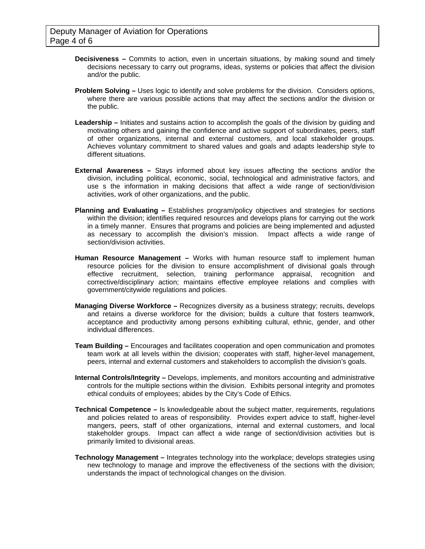- **Decisiveness** Commits to action, even in uncertain situations, by making sound and timely decisions necessary to carry out programs, ideas, systems or policies that affect the division and/or the public.
- **Problem Solving** Uses logic to identify and solve problems for the division. Considers options, where there are various possible actions that may affect the sections and/or the division or the public.
- Leadership Initiates and sustains action to accomplish the goals of the division by guiding and motivating others and gaining the confidence and active support of subordinates, peers, staff of other organizations, internal and external customers, and local stakeholder groups. Achieves voluntary commitment to shared values and goals and adapts leadership style to different situations.
- **External Awareness** Stays informed about key issues affecting the sections and/or the division, including political, economic, social, technological and administrative factors, and use s the information in making decisions that affect a wide range of section/division activities, work of other organizations, and the public.
- **Planning and Evaluating** Establishes program/policy objectives and strategies for sections within the division; identifies required resources and develops plans for carrying out the work in a timely manner. Ensures that programs and policies are being implemented and adjusted as necessary to accomplish the division's mission. Impact affects a wide range of section/division activities.
- **Human Resource Management** Works with human resource staff to implement human resource policies for the division to ensure accomplishment of divisional goals through effective recruitment, selection, training performance appraisal, recognition and corrective/disciplinary action; maintains effective employee relations and complies with government/citywide regulations and policies.
- **Managing Diverse Workforce** Recognizes diversity as a business strategy; recruits, develops and retains a diverse workforce for the division; builds a culture that fosters teamwork, acceptance and productivity among persons exhibiting cultural, ethnic, gender, and other individual differences.
- **Team Building** Encourages and facilitates cooperation and open communication and promotes team work at all levels within the division; cooperates with staff, higher-level management, peers, internal and external customers and stakeholders to accomplish the division's goals.
- **Internal Controls/Integrity** Develops, implements, and monitors accounting and administrative controls for the multiple sections within the division. Exhibits personal integrity and promotes ethical conduits of employees; abides by the City's Code of Ethics.
- **Technical Competence** Is knowledgeable about the subject matter, requirements, regulations and policies related to areas of responsibility. Provides expert advice to staff, higher-level mangers, peers, staff of other organizations, internal and external customers, and local stakeholder groups. Impact can affect a wide range of section/division activities but is primarily limited to divisional areas.
- **Technology Management** Integrates technology into the workplace; develops strategies using new technology to manage and improve the effectiveness of the sections with the division; understands the impact of technological changes on the division.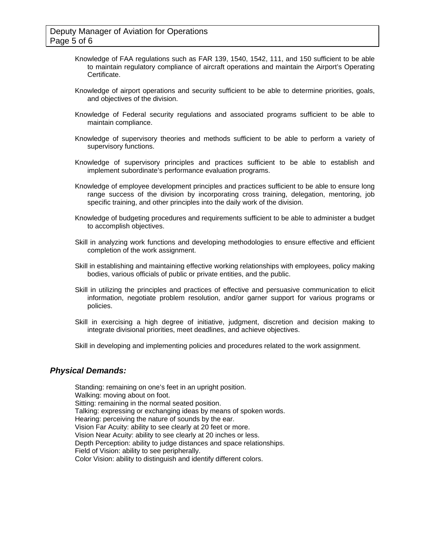- Knowledge of FAA regulations such as FAR 139, 1540, 1542, 111, and 150 sufficient to be able to maintain regulatory compliance of aircraft operations and maintain the Airport's Operating Certificate.
- Knowledge of airport operations and security sufficient to be able to determine priorities, goals, and objectives of the division.
- Knowledge of Federal security regulations and associated programs sufficient to be able to maintain compliance.
- Knowledge of supervisory theories and methods sufficient to be able to perform a variety of supervisory functions.
- Knowledge of supervisory principles and practices sufficient to be able to establish and implement subordinate's performance evaluation programs.
- Knowledge of employee development principles and practices sufficient to be able to ensure long range success of the division by incorporating cross training, delegation, mentoring, job specific training, and other principles into the daily work of the division.
- Knowledge of budgeting procedures and requirements sufficient to be able to administer a budget to accomplish objectives.
- Skill in analyzing work functions and developing methodologies to ensure effective and efficient completion of the work assignment.
- Skill in establishing and maintaining effective working relationships with employees, policy making bodies, various officials of public or private entities, and the public.
- Skill in utilizing the principles and practices of effective and persuasive communication to elicit information, negotiate problem resolution, and/or garner support for various programs or policies.
- Skill in exercising a high degree of initiative, judgment, discretion and decision making to integrate divisional priorities, meet deadlines, and achieve objectives.
- Skill in developing and implementing policies and procedures related to the work assignment.

# *Physical Demands:*

Standing: remaining on one's feet in an upright position. Walking: moving about on foot. Sitting: remaining in the normal seated position. Talking: expressing or exchanging ideas by means of spoken words. Hearing: perceiving the nature of sounds by the ear. Vision Far Acuity: ability to see clearly at 20 feet or more. Vision Near Acuity: ability to see clearly at 20 inches or less. Depth Perception: ability to judge distances and space relationships. Field of Vision: ability to see peripherally. Color Vision: ability to distinguish and identify different colors.